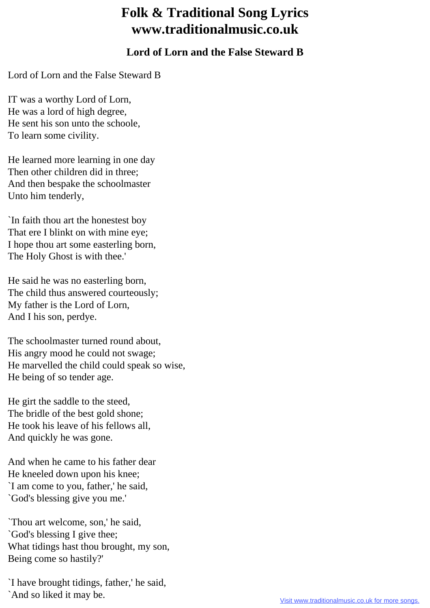## **Folk & Traditional Song Lyrics www.traditionalmusic.co.uk**

## **Lord of Lorn and the False Steward B**

Lord of Lorn and the False Steward B

IT was a worthy Lord of Lorn, He was a lord of high degree, He sent his son unto the schoole, To learn some civility.

He learned more learning in one day Then other children did in three; And then bespake the schoolmaster Unto him tenderly,

`In faith thou art the honestest boy That ere I blinkt on with mine eye; I hope thou art some easterling born, The Holy Ghost is with thee.'

He said he was no easterling born, The child thus answered courteously; My father is the Lord of Lorn, And I his son, perdye.

The schoolmaster turned round about, His angry mood he could not swage; He marvelled the child could speak so wise, He being of so tender age.

He girt the saddle to the steed, The bridle of the best gold shone; He took his leave of his fellows all, And quickly he was gone.

And when he came to his father dear He kneeled down upon his knee; `I am come to you, father,' he said, `God's blessing give you me.'

`Thou art welcome, son,' he said, `God's blessing I give thee; What tidings hast thou brought, my son, Being come so hastily?'

`I have brought tidings, father,' he said, `And so liked it may be.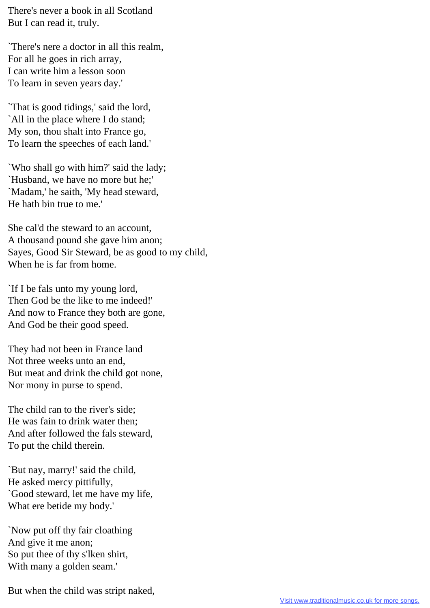There's never a book in all Scotland But I can read it, truly.

`There's nere a doctor in all this realm, For all he goes in rich array, I can write him a lesson soon To learn in seven years day.'

`That is good tidings,' said the lord, `All in the place where I do stand; My son, thou shalt into France go, To learn the speeches of each land.'

`Who shall go with him?' said the lady; `Husband, we have no more but he;' `Madam,' he saith, 'My head steward, He hath bin true to me.'

She cal'd the steward to an account, A thousand pound she gave him anon; Sayes, Good Sir Steward, be as good to my child, When he is far from home.

`If I be fals unto my young lord, Then God be the like to me indeed!' And now to France they both are gone, And God be their good speed.

They had not been in France land Not three weeks unto an end, But meat and drink the child got none, Nor mony in purse to spend.

The child ran to the river's side; He was fain to drink water then; And after followed the fals steward, To put the child therein.

`But nay, marry!' said the child, He asked mercy pittifully, `Good steward, let me have my life, What ere betide my body.'

`Now put off thy fair cloathing And give it me anon; So put thee of thy s'lken shirt, With many a golden seam.'

But when the child was stript naked,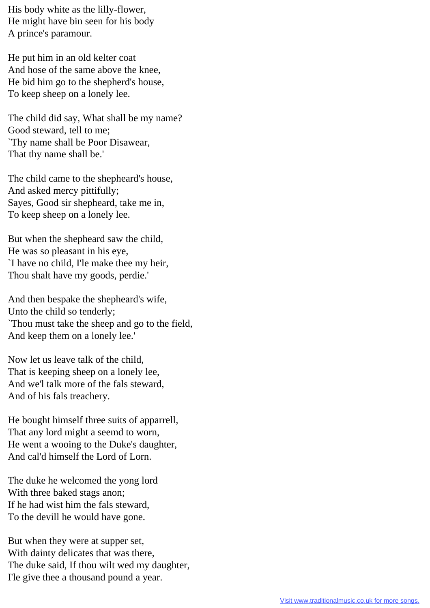His body white as the lilly-flower, He might have bin seen for his body A prince's paramour.

He put him in an old kelter coat And hose of the same above the knee, He bid him go to the shepherd's house, To keep sheep on a lonely lee.

The child did say, What shall be my name? Good steward, tell to me; `Thy name shall be Poor Disawear, That thy name shall be.'

The child came to the shepheard's house, And asked mercy pittifully; Sayes, Good sir shepheard, take me in, To keep sheep on a lonely lee.

But when the shepheard saw the child, He was so pleasant in his eye, `I have no child, I'le make thee my heir, Thou shalt have my goods, perdie.'

And then bespake the shepheard's wife, Unto the child so tenderly; `Thou must take the sheep and go to the field, And keep them on a lonely lee.'

Now let us leave talk of the child, That is keeping sheep on a lonely lee, And we'l talk more of the fals steward, And of his fals treachery.

He bought himself three suits of apparrell, That any lord might a seemd to worn, He went a wooing to the Duke's daughter, And cal'd himself the Lord of Lorn.

The duke he welcomed the yong lord With three baked stags anon; If he had wist him the fals steward, To the devill he would have gone.

But when they were at supper set, With dainty delicates that was there, The duke said, If thou wilt wed my daughter, I'le give thee a thousand pound a year.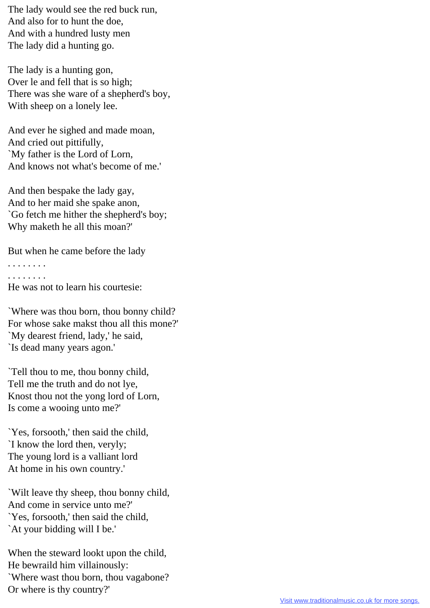The lady would see the red buck run, And also for to hunt the doe, And with a hundred lusty men The lady did a hunting go.

The lady is a hunting gon, Over le and fell that is so high; There was she ware of a shepherd's boy, With sheep on a lonely lee.

And ever he sighed and made moan, And cried out pittifully, `My father is the Lord of Lorn, And knows not what's become of me.'

And then bespake the lady gay, And to her maid she spake anon, `Go fetch me hither the shepherd's boy; Why maketh he all this moan?'

But when he came before the lady

. . . . . . . . . . . . . . . .

He was not to learn his courtesie:

`Where was thou born, thou bonny child? For whose sake makst thou all this mone?' `My dearest friend, lady,' he said, `Is dead many years agon.'

`Tell thou to me, thou bonny child, Tell me the truth and do not lye, Knost thou not the yong lord of Lorn, Is come a wooing unto me?'

`Yes, forsooth,' then said the child, `I know the lord then, veryly; The young lord is a valliant lord At home in his own country.'

`Wilt leave thy sheep, thou bonny child, And come in service unto me?' `Yes, forsooth,' then said the child, `At your bidding will I be.'

When the steward lookt upon the child, He bewraild him villainously: `Where wast thou born, thou vagabone? Or where is thy country?'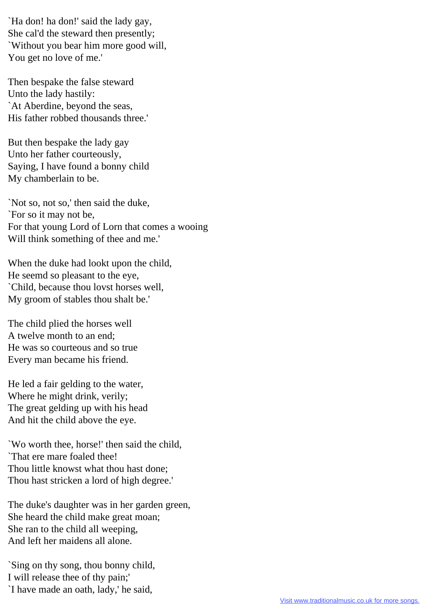`Ha don! ha don!' said the lady gay, She cal'd the steward then presently; `Without you bear him more good will, You get no love of me.'

Then bespake the false steward Unto the lady hastily: `At Aberdine, beyond the seas, His father robbed thousands three.'

But then bespake the lady gay Unto her father courteously, Saying, I have found a bonny child My chamberlain to be.

`Not so, not so,' then said the duke, `For so it may not be, For that young Lord of Lorn that comes a wooing Will think something of thee and me.'

When the duke had lookt upon the child, He seemd so pleasant to the eye, `Child, because thou lovst horses well, My groom of stables thou shalt be.'

The child plied the horses well A twelve month to an end; He was so courteous and so true Every man became his friend.

He led a fair gelding to the water, Where he might drink, verily; The great gelding up with his head And hit the child above the eye.

`Wo worth thee, horse!' then said the child, `That ere mare foaled thee! Thou little knowst what thou hast done; Thou hast stricken a lord of high degree.'

The duke's daughter was in her garden green, She heard the child make great moan; She ran to the child all weeping, And left her maidens all alone.

`Sing on thy song, thou bonny child, I will release thee of thy pain;' `I have made an oath, lady,' he said,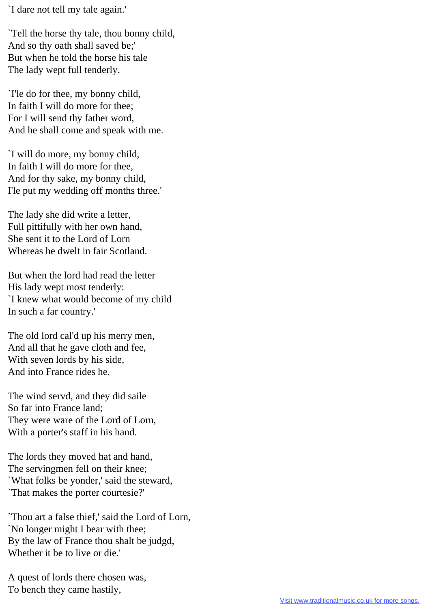`I dare not tell my tale again.'

`Tell the horse thy tale, thou bonny child, And so thy oath shall saved be;' But when he told the horse his tale The lady wept full tenderly.

`I'le do for thee, my bonny child, In faith I will do more for thee; For I will send thy father word, And he shall come and speak with me.

`I will do more, my bonny child, In faith I will do more for thee, And for thy sake, my bonny child, I'le put my wedding off months three.'

The lady she did write a letter, Full pittifully with her own hand, She sent it to the Lord of Lorn Whereas he dwelt in fair Scotland.

But when the lord had read the letter His lady wept most tenderly: `I knew what would become of my child In such a far country.'

The old lord cal'd up his merry men, And all that he gave cloth and fee, With seven lords by his side, And into France rides he.

The wind servd, and they did saile So far into France land; They were ware of the Lord of Lorn, With a porter's staff in his hand.

The lords they moved hat and hand, The servingmen fell on their knee; `What folks be yonder,' said the steward, `That makes the porter courtesie?'

`Thou art a false thief,' said the Lord of Lorn, `No longer might I bear with thee; By the law of France thou shalt be judgd, Whether it be to live or die.'

A quest of lords there chosen was, To bench they came hastily,